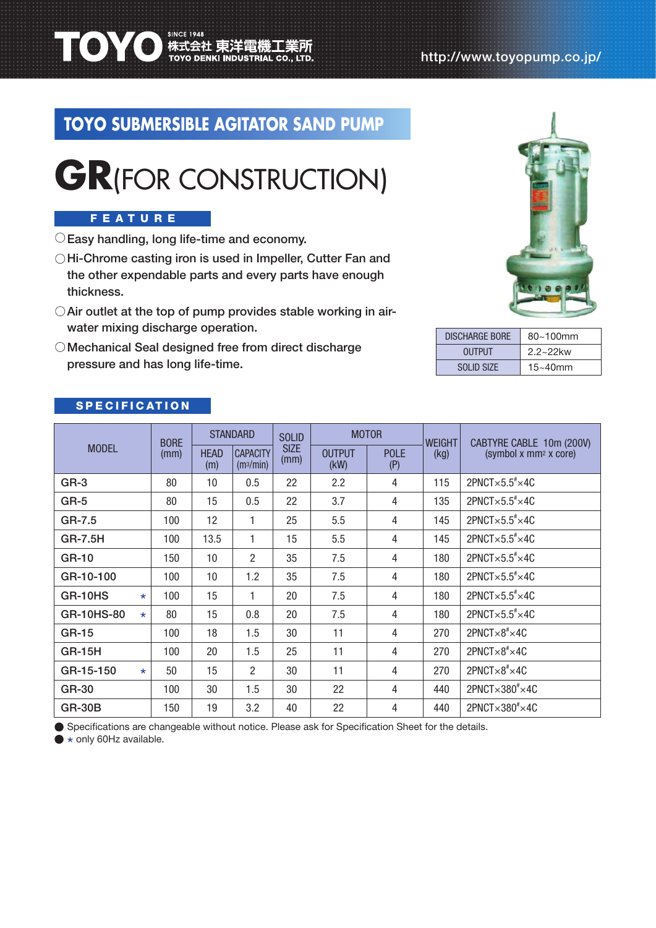# **TOYO SUBMERSIBLE AGITATOR SAND PUMP**



#### FEATURE

 $\bigcirc$  Easy handling, long life-time and economy.

**TOYO** 株式会社 東洋電機工業所

- O Hi-Chrome casting iron is used in Impeller, Cutter Fan and the other expendable parts and every parts have enough thickness.
- $\bigcirc$  Air outlet at the top of pump provides stable working in airwater mixing discharge operation.
- O Mechanical Seal designed free from direct discharge pressure and has long life-time.



| <b>DISCHARGE BORE</b> | $80 - 100$ mm |  |  |  |  |
|-----------------------|---------------|--|--|--|--|
| <b>OUTPUT</b>         | $2.2 - 22$ kw |  |  |  |  |
| SOLID SIZE            | $15 - 40$ mm  |  |  |  |  |

### **SPECIFICATION**

| <b>MODEL</b>   |         | <b>BORE</b><br>(mm) | <b>STANDARD</b>    |                                          | <b>SOLID</b>        | <b>MOTOR</b>          |                    | <b>WEIGHT</b> | CABTYRE CABLE 10m (200V)                         |  |
|----------------|---------|---------------------|--------------------|------------------------------------------|---------------------|-----------------------|--------------------|---------------|--------------------------------------------------|--|
|                |         |                     | <b>HEAD</b><br>(m) | <b>CAPACITY</b><br>(m <sub>3</sub> /min) | <b>SIZE</b><br>(mm) | <b>OUTPUT</b><br>(KW) | <b>POLE</b><br>(P) | (kg)          | (symbol x mm <sup>2</sup> x core)                |  |
| GR-3           |         | 80                  | 10                 | 0.5                                      | 22                  | 2.2                   | $\overline{4}$     | 115           | $2$ PNCT $\times$ 5.5 $\overline{*}\times$ 4C    |  |
| GR-5           |         | 80                  | 15                 | 0.5                                      | 22                  | 3.7                   | $\overline{4}$     | 135           | $2$ PNCT $\times$ 5.5 $\overline{*}\times$ 4C    |  |
| GR-7.5         |         | 100                 | 12                 | 1                                        | 25                  | 5.5                   | 4                  | 145           | $2$ PNCT $\times$ 5.5 $\overline{*}\times$ 4C    |  |
| <b>GR-7.5H</b> |         | 100                 | 13.5               | 1                                        | 15                  | 5.5                   | 4                  | 145           | $2$ PNCT $\times$ 5.5 $\overline{*}\times$ 4C    |  |
| GR-10          |         | 150                 | 10                 | $\overline{2}$                           | 35                  | 7.5                   | $\overline{4}$     | 180           | $2$ PNCT $\times$ 5.5 $\overline{*}\times$ 4C    |  |
| GR-10-100      |         | 100                 | 10                 | 1.2                                      | 35                  | 7.5                   | 4                  | 180           | $2$ PNCT $\times$ 5.5 $\overline{*}\times$ 4C    |  |
| GR-10HS        |         | 100                 | 15                 | 1                                        | 20                  | 7.5                   | $\overline{4}$     | 180           | $2$ PNCT $\times$ 5.5 $\overline{5}$ $\times$ 4C |  |
| GR-10HS-80     | $\star$ | 80                  | 15                 | 0.8                                      | 20                  | 7.5                   | $\overline{4}$     | 180           | 2PNCT $\times$ 5.5 $\overline{*}\times$ 4C       |  |
| <b>GR-15</b>   |         | 100                 | 18                 | 1.5                                      | 30                  | 11                    | 4                  | 270           | $2$ PNCT $\times$ 8 <sup>#</sup> $\times$ 4C     |  |
| <b>GR-15H</b>  |         | 100                 | 20                 | 1.5                                      | 25                  | 11                    | 4                  | 270           | $2$ PNCT $\times$ 8 <sup>#</sup> $\times$ 4C     |  |
| GR-15-150      | $\star$ | 50                  | 15                 | $\mathcal{P}$                            | 30                  | 11                    | $\overline{4}$     | 270           | $2$ PNCT $\times$ 8 <sup>#</sup> $\times$ 4C     |  |
| <b>GR-30</b>   |         | 100                 | 30                 | 1.5                                      | 30                  | 22                    | 4                  | 440           | $2$ PNCT $\times$ 380 $\degree\times$ 4C         |  |
| <b>GR-30B</b>  |         | 150                 | 19                 | 3.2                                      | 40                  | 22                    | $\overline{4}$     | 440           | $2$ PNCT $\times$ 380 $\degree\times$ 4C         |  |

Specifications are changeable without notice. Please ask for Specification Sheet for the details.

\* only 60Hz available.